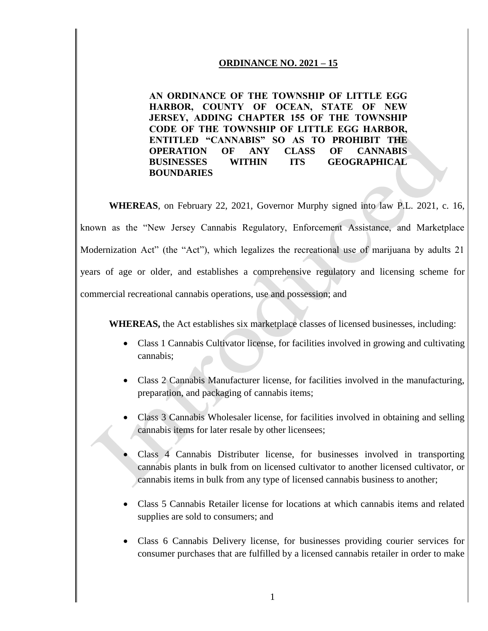#### **ORDINANCE NO. 2021 – 15**

**AN ORDINANCE OF THE TOWNSHIP OF LITTLE EGG HARBOR, COUNTY OF OCEAN, STATE OF NEW JERSEY, ADDING CHAPTER 155 OF THE TOWNSHIP CODE OF THE TOWNSHIP OF LITTLE EGG HARBOR, ENTITLED "CANNABIS" SO AS TO PROHIBIT THE OPERATION OF ANY CLASS OF CANNABIS BUSINESSES WITHIN ITS GEOGRAPHICAL BOUNDARIES** 

**WHEREAS**, on February 22, 2021, Governor Murphy signed into law P.L. 2021, c. 16, known as the "New Jersey Cannabis Regulatory, Enforcement Assistance, and Marketplace Modernization Act" (the "Act"), which legalizes the recreational use of marijuana by adults 21 years of age or older, and establishes a comprehensive regulatory and licensing scheme for commercial recreational cannabis operations, use and possession; and

**WHEREAS,** the Act establishes six marketplace classes of licensed businesses, including:

- Class 1 Cannabis Cultivator license, for facilities involved in growing and cultivating cannabis;
- Class 2 Cannabis Manufacturer license, for facilities involved in the manufacturing, preparation, and packaging of cannabis items;
- Class 3 Cannabis Wholesaler license, for facilities involved in obtaining and selling cannabis items for later resale by other licensees;
- Class 4 Cannabis Distributer license, for businesses involved in transporting cannabis plants in bulk from on licensed cultivator to another licensed cultivator, or cannabis items in bulk from any type of licensed cannabis business to another;
- Class 5 Cannabis Retailer license for locations at which cannabis items and related supplies are sold to consumers; and
- Class 6 Cannabis Delivery license, for businesses providing courier services for consumer purchases that are fulfilled by a licensed cannabis retailer in order to make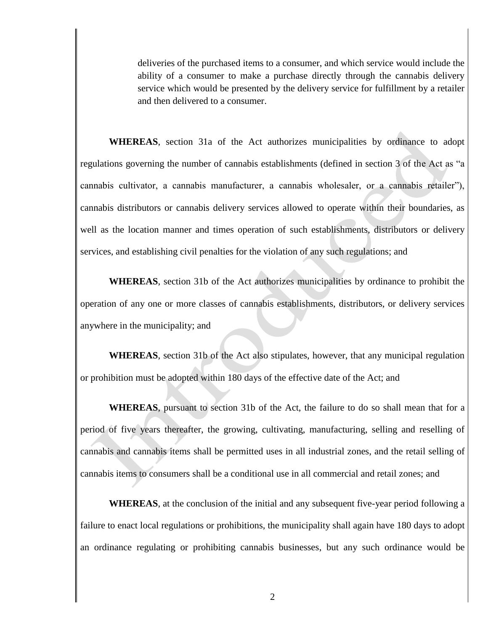deliveries of the purchased items to a consumer, and which service would include the ability of a consumer to make a purchase directly through the cannabis delivery service which would be presented by the delivery service for fulfillment by a retailer and then delivered to a consumer.

**WHEREAS**, section 31a of the Act authorizes municipalities by ordinance to adopt regulations governing the number of cannabis establishments (defined in section 3 of the Act as "a cannabis cultivator, a cannabis manufacturer, a cannabis wholesaler, or a cannabis retailer"), cannabis distributors or cannabis delivery services allowed to operate within their boundaries, as well as the location manner and times operation of such establishments, distributors or delivery services, and establishing civil penalties for the violation of any such regulations; and

**WHEREAS**, section 31b of the Act authorizes municipalities by ordinance to prohibit the operation of any one or more classes of cannabis establishments, distributors, or delivery services anywhere in the municipality; and

**WHEREAS**, section 31b of the Act also stipulates, however, that any municipal regulation or prohibition must be adopted within 180 days of the effective date of the Act; and

**WHEREAS**, pursuant to section 31b of the Act, the failure to do so shall mean that for a period of five years thereafter, the growing, cultivating, manufacturing, selling and reselling of cannabis and cannabis items shall be permitted uses in all industrial zones, and the retail selling of cannabis items to consumers shall be a conditional use in all commercial and retail zones; and

**WHEREAS**, at the conclusion of the initial and any subsequent five-year period following a failure to enact local regulations or prohibitions, the municipality shall again have 180 days to adopt an ordinance regulating or prohibiting cannabis businesses, but any such ordinance would be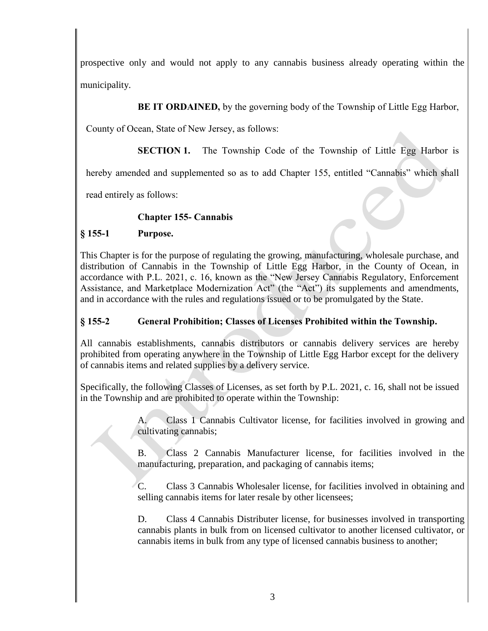prospective only and would not apply to any cannabis business already operating within the municipality.

# **BE IT ORDAINED,** by the governing body of the Township of Little Egg Harbor,

County of Ocean, State of New Jersey, as follows:

**SECTION 1.** The Township Code of the Township of Little Egg Harbor is

hereby amended and supplemented so as to add Chapter 155, entitled "Cannabis" which shall

read entirely as follows:

## **Chapter 155- Cannabis**

## **§ 155-1 Purpose.**

This Chapter is for the purpose of regulating the growing, manufacturing, wholesale purchase, and distribution of Cannabis in the Township of Little Egg Harbor, in the County of Ocean, in accordance with P.L. 2021, c. 16, known as the "New Jersey Cannabis Regulatory, Enforcement Assistance, and Marketplace Modernization Act" (the "Act") its supplements and amendments, and in accordance with the rules and regulations issued or to be promulgated by the State.

## **§ 155-2 General Prohibition; Classes of Licenses Prohibited within the Township.**

All cannabis establishments, cannabis distributors or cannabis delivery services are hereby prohibited from operating anywhere in the Township of Little Egg Harbor except for the delivery of cannabis items and related supplies by a delivery service.

Specifically, the following Classes of Licenses, as set forth by P.L. 2021, c. 16, shall not be issued in the Township and are prohibited to operate within the Township:

> A. Class 1 Cannabis Cultivator license, for facilities involved in growing and cultivating cannabis;

> B. Class 2 Cannabis Manufacturer license, for facilities involved in the manufacturing, preparation, and packaging of cannabis items;

> C. Class 3 Cannabis Wholesaler license, for facilities involved in obtaining and selling cannabis items for later resale by other licensees;

> D. Class 4 Cannabis Distributer license, for businesses involved in transporting cannabis plants in bulk from on licensed cultivator to another licensed cultivator, or cannabis items in bulk from any type of licensed cannabis business to another;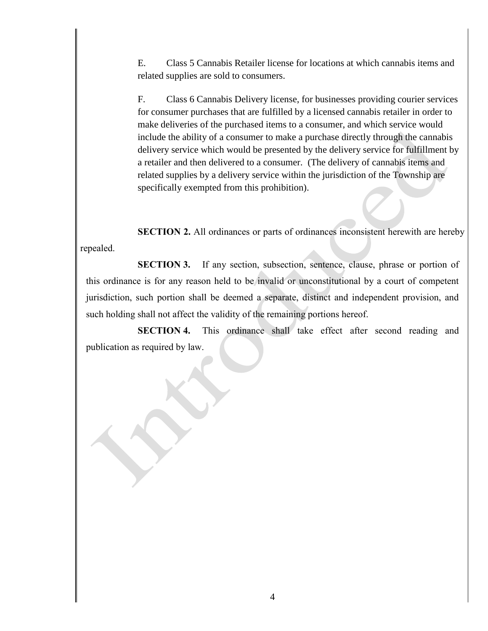E. Class 5 Cannabis Retailer license for locations at which cannabis items and related supplies are sold to consumers.

F. Class 6 Cannabis Delivery license, for businesses providing courier services for consumer purchases that are fulfilled by a licensed cannabis retailer in order to make deliveries of the purchased items to a consumer, and which service would include the ability of a consumer to make a purchase directly through the cannabis delivery service which would be presented by the delivery service for fulfillment by a retailer and then delivered to a consumer. (The delivery of cannabis items and related supplies by a delivery service within the jurisdiction of the Township are specifically exempted from this prohibition).

**SECTION 2.** All ordinances or parts of ordinances inconsistent herewith are hereby repealed.

**SECTION 3.** If any section, subsection, sentence, clause, phrase or portion of this ordinance is for any reason held to be invalid or unconstitutional by a court of competent jurisdiction, such portion shall be deemed a separate, distinct and independent provision, and such holding shall not affect the validity of the remaining portions hereof.

**SECTION 4.** This ordinance shall take effect after second reading and publication as required by law.